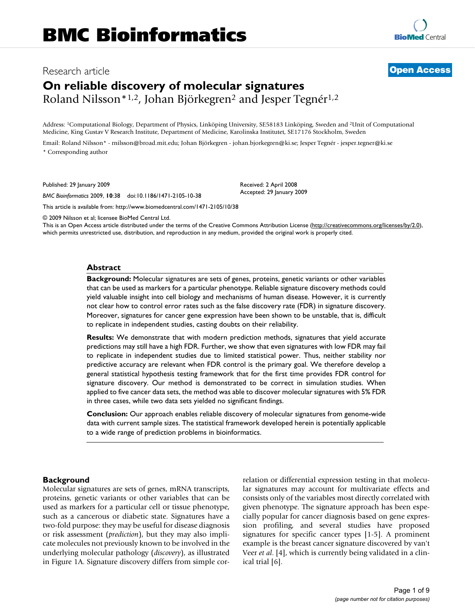# **On reliable discovery of molecular signatures** Roland Nilsson\*1,2, Johan Björkegren2 and Jesper Tegnér1,2

Address: 1Computational Biology, Department of Physics, Linköping University, SE58183 Linköping, Sweden and 2Unit of Computational Medicine, King Gustav V Research Institute, Department of Medicine, Karolinska Institutet, SE17176 Stockholm, Sweden

Email: Roland Nilsson\* - rnilsson@broad.mit.edu; Johan Björkegren - johan.bjorkegren@ki.se; Jesper Tegnér - jesper.tegner@ki.se \* Corresponding author

Published: 29 January 2009

*BMC Bioinformatics* 2009, **10**:38 doi:10.1186/1471-2105-10-38

[This article is available from: http://www.biomedcentral.com/1471-2105/10/38](http://www.biomedcentral.com/1471-2105/10/38)

© 2009 Nilsson et al; licensee BioMed Central Ltd.

This is an Open Access article distributed under the terms of the Creative Commons Attribution License [\(http://creativecommons.org/licenses/by/2.0\)](http://creativecommons.org/licenses/by/2.0), which permits unrestricted use, distribution, and reproduction in any medium, provided the original work is properly cited.

#### **Abstract**

**Background:** Molecular signatures are sets of genes, proteins, genetic variants or other variables that can be used as markers for a particular phenotype. Reliable signature discovery methods could yield valuable insight into cell biology and mechanisms of human disease. However, it is currently not clear how to control error rates such as the false discovery rate (FDR) in signature discovery. Moreover, signatures for cancer gene expression have been shown to be unstable, that is, difficult to replicate in independent studies, casting doubts on their reliability.

**Results:** We demonstrate that with modern prediction methods, signatures that yield accurate predictions may still have a high FDR. Further, we show that even signatures with low FDR may fail to replicate in independent studies due to limited statistical power. Thus, neither stability nor predictive accuracy are relevant when FDR control is the primary goal. We therefore develop a general statistical hypothesis testing framework that for the first time provides FDR control for signature discovery. Our method is demonstrated to be correct in simulation studies. When applied to five cancer data sets, the method was able to discover molecular signatures with 5% FDR in three cases, while two data sets yielded no significant findings.

**Conclusion:** Our approach enables reliable discovery of molecular signatures from genome-wide data with current sample sizes. The statistical framework developed herein is potentially applicable to a wide range of prediction problems in bioinformatics.

#### **Background**

Molecular signatures are sets of genes, mRNA transcripts, proteins, genetic variants or other variables that can be used as markers for a particular cell or tissue phenotype, such as a cancerous or diabetic state. Signatures have a two-fold purpose: they may be useful for disease diagnosis or risk assessment (*prediction*), but they may also implicate molecules not previously known to be involved in the underlying molecular pathology (*discovery*), as illustrated in Figure 1A. Signature discovery differs from simple correlation or differential expression testing in that molecular signatures may account for multivariate effects and consists only of the variables most directly correlated with given phenotype. The signature approach has been especially popular for cancer diagnosis based on gene expression profiling, and several studies have proposed signatures for specific cancer types [1-5]. A prominent example is the breast cancer signature discovered by van't Veer *et al*. [4], which is currently being validated in a clinical trial [6].

# Research article **[Open Access](http://www.biomedcentral.com/info/about/charter/)**

Received: 2 April 2008 Accepted: 29 January 2009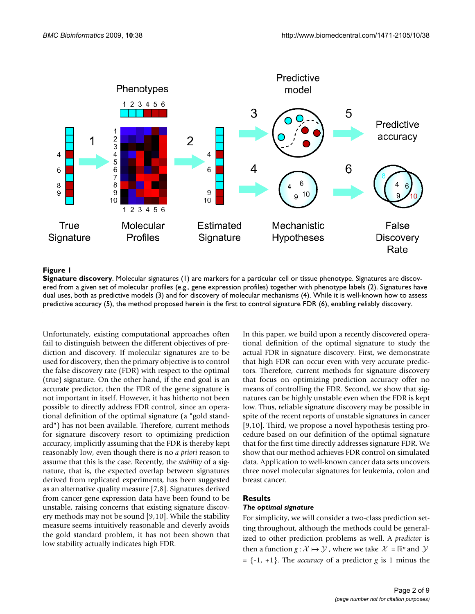

#### **Figure 1**

**Signature discovery**. Molecular signatures (1) are markers for a particular cell or tissue phenotype. Signatures are discovered from a given set of molecular profiles (e.g., gene expression profiles) together with phenotype labels (2). Signatures have dual uses, both as predictive models (3) and for discovery of molecular mechanisms (4). While it is well-known how to assess predictive accuracy (5), the method proposed herein is the first to control signature FDR (6), enabling reliably discovery.

Unfortunately, existing computational approaches often fail to distinguish between the different objectives of prediction and discovery. If molecular signatures are to be used for discovery, then the primary objective is to control the false discovery rate (FDR) with respect to the optimal (true) signature. On the other hand, if the end goal is an accurate predictor, then the FDR of the gene signature is not important in itself. However, it has hitherto not been possible to directly address FDR control, since an operational definition of the optimal signature (a "gold standard") has not been available. Therefore, current methods for signature discovery resort to optimizing prediction accuracy, implicitly assuming that the FDR is thereby kept reasonably low, even though there is no *a priori* reason to assume that this is the case. Recently, the *stability* of a signature, that is, the expected overlap between signatures derived from replicated experiments, has been suggested as an alternative quality measure [7,8]. Signatures derived from cancer gene expression data have been found to be unstable, raising concerns that existing signature discovery methods may not be sound [9,10]. While the stability measure seems intuitively reasonable and cleverly avoids the gold standard problem, it has not been shown that low stability actually indicates high FDR.

In this paper, we build upon a recently discovered operational definition of the optimal signature to study the actual FDR in signature discovery. First, we demonstrate that high FDR can occur even with very accurate predictors. Therefore, current methods for signature discovery that focus on optimizing prediction accuracy offer no means of controlling the FDR. Second, we show that signatures can be highly unstable even when the FDR is kept low. Thus, reliable signature discovery may be possible in spite of the recent reports of unstable signatures in cancer [9,10]. Third, we propose a novel hypothesis testing procedure based on our definition of the optimal signature that for the first time directly addresses signature FDR. We show that our method achieves FDR control on simulated data. Application to well-known cancer data sets uncovers three novel molecular signatures for leukemia, colon and breast cancer.

#### **Results**

#### *The optimal signature*

For simplicity, we will consider a two-class prediction setting throughout, although the methods could be generalized to other prediction problems as well. A *predictor* is then a function  $g: \mathcal{X} \mapsto \mathcal{Y}$ , where we take  $\mathcal{X} = \mathbb{R}^n$  and  $\mathcal{Y}$  $= \{-1, +1\}$ . The *accuracy* of a predictor *g* is 1 minus the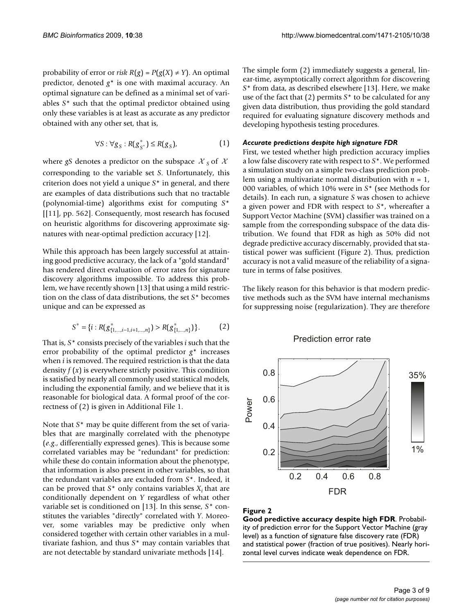probability of error or *risk*  $R(g) = P(g(X) \neq Y)$ . An optimal predictor, denoted *g*\* is one with maximal accuracy. An optimal signature can be defined as a minimal set of variables *S*\* such that the optimal predictor obtained using only these variables is at least as accurate as any predictor obtained with any other set, that is,

$$
\forall S : \forall g_S : R(g_{S^*}^*) \le R(g_S), \tag{1}
$$

where  $gS$  denotes a predictor on the subspace  $\mathcal{X}_S$  of  $\mathcal{X}_S$ corresponding to the variable set *S*. Unfortunately, this criterion does not yield a unique *S*\* in general, and there are examples of data distributions such that no tractable (polynomial-time) algorithms exist for computing *S*\* [[11], pp. 562]. Consequently, most research has focused on heuristic algorithms for discovering approximate signatures with near-optimal prediction accuracy [12].

While this approach has been largely successful at attaining good predictive accuracy, the lack of a "gold standard" has rendered direct evaluation of error rates for signature discovery algorithms impossible. To address this problem, we have recently shown [13] that using a mild restriction on the class of data distributions, the set *S*\* becomes unique and can be expressed as

$$
S^* = \{i : R(g^*_{\{1,\ldots,i-1,i+1,\ldots,n\}}) > R(g^*_{\{1,\ldots,n\}})\}.
$$
 (2)

That is, *S*\* consists precisely of the variables *i* such that the error probability of the optimal predictor *g*\* increases when *i* is removed. The required restriction is that the data density  $f(x)$  is everywhere strictly positive. This condition is satisfied by nearly all commonly used statistical models, including the exponential family, and we believe that it is reasonable for biological data. A formal proof of the correctness of (2) is given in Additional File 1.

Note that *S*\* may be quite different from the set of variables that are marginally correlated with the phenotype (*e.g*., differentially expressed genes). This is because some correlated variables may be "redundant" for prediction: while these do contain information about the phenotype, that information is also present in other variables, so that the redundant variables are excluded from *S*\*. Indeed, it can be proved that *S*\* only contains variables *Xi* that are conditionally dependent on *Y* regardless of what other variable set is conditioned on [13]. In this sense, *S\** constitutes the variables "directly" correlated with *Y*. Moreover, some variables may be predictive only when considered together with certain other variables in a multivariate fashion, and thus *S*\* may contain variables that are not detectable by standard univariate methods [14].

The simple form (2) immediately suggests a general, linear-time, asymptotically correct algorithm for discovering *S*\* from data, as described elsewhere [13]. Here, we make use of the fact that (2) permits *S*\* to be calculated for any given data distribution, thus providing the gold standard required for evaluating signature discovery methods and developing hypothesis testing procedures.

#### *Accurate predictions despite high signature FDR*

First, we tested whether high prediction accuracy implies a low false discovery rate with respect to *S*\*. We performed a simulation study on a simple two-class prediction problem using a multivariate normal distribution with *n* = 1, 000 variables, of which 10% were in *S*\* (see Methods for details). In each run, a signature *S* was chosen to achieve a given power and FDR with respect to *S*\*, whereafter a Support Vector Machine (SVM) classifier was trained on a sample from the corresponding subspace of the data distribution. We found that FDR as high as 50% did not degrade predictive accuracy discernably, provided that statistical power was sufficient (Figure 2). Thus, prediction accuracy is not a valid measure of the reliability of a signature in terms of false positives.

The likely reason for this behavior is that modern predictive methods such as the SVM have internal mechanisms for suppressing noise (regularization). They are therefore



#### Prediction error rate

# Figure 2

**Good predictive accuracy despite high FDR**. Probability of prediction error for the Support Vector Machine (gray level) as a function of signature false discovery rate (FDR) and statistical power (fraction of true positives). Nearly horizontal level curves indicate weak dependence on FDR.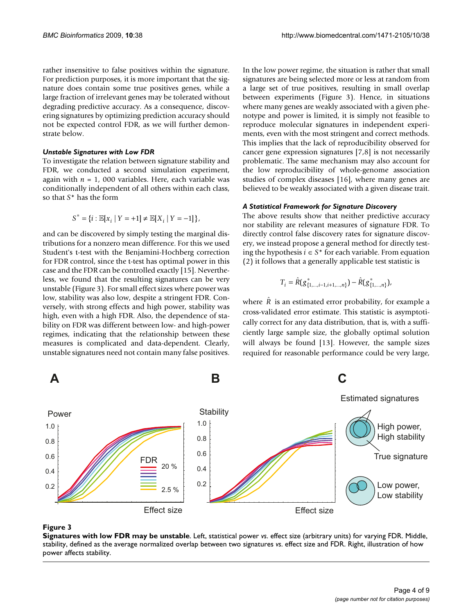rather insensitive to false positives within the signature. For prediction purposes, it is more important that the signature does contain some true positives genes, while a large fraction of irrelevant genes may be tolerated without degrading predictive accuracy. As a consequence, discovering signatures by optimizing prediction accuracy should not be expected control FDR, as we will further demonstrate below.

#### *Unstable Signatures with Low FDR*

To investigate the relation between signature stability and FDR, we conducted a second simulation experiment, again with  $n = 1$ , 000 variables. Here, each variable was conditionally independent of all others within each class, so that *S*\* has the form

$$
S^* = \{i: \mathbb{E}[x_i \mid Y = +1] \neq \mathbb{E}[X_i \mid Y = -1]\},\
$$

and can be discovered by simply testing the marginal distributions for a nonzero mean difference. For this we used Student's t-test with the Benjamini-Hochberg correction for FDR control, since the t-test has optimal power in this case and the FDR can be controlled exactly [15]. Nevertheless, we found that the resulting signatures can be very unstable (Figure 3). For small effect sizes where power was low, stability was also low, despite a stringent FDR. Conversely, with strong effects and high power, stability was high, even with a high FDR. Also, the dependence of stability on FDR was different between low- and high-power regimes, indicating that the relationship between these measures is complicated and data-dependent. Clearly, unstable signatures need not contain many false positives.

In the low power regime, the situation is rather that small signatures are being selected more or less at random from a large set of true positives, resulting in small overlap between experiments (Figure 3). Hence, in situations where many genes are weakly associated with a given phenotype and power is limited, it is simply not feasible to reproduce molecular signatures in independent experiments, even with the most stringent and correct methods. This implies that the lack of reproducibility observed for cancer gene expression signatures [7,8] is not necessarily problematic. The same mechanism may also account for the low reproducibility of whole-genome association studies of complex diseases [16], where many genes are believed to be weakly associated with a given disease trait.

## *A Statistical Framework for Signature Discovery*

The above results show that neither predictive accuracy nor stability are relevant measures of signature FDR. To directly control false discovery rates for signature discovery, we instead propose a general method for directly testing the hypothesis *i* ∈ *S*\* for each variable. From equation (2) it follows that a generally applicable test statistic is

$$
T_i = \hat{R}(g_{\{1,\dots,i-1,i+1,\dots,n\}}^*) - \hat{R}(g_{\{1,\dots,n\}}^*)
$$

where  $\hat{R}$  is an estimated error probability, for example a cross-validated error estimate. This statistic is asymptotically correct for any data distribution, that is, with a sufficiently large sample size, the globally optimal solution will always be found [13]. However, the sample sizes required for reasonable performance could be very large,



# **Figure 3**

**Signatures with low FDR may be unstable**. Left, statistical power *vs*. effect size (arbitrary units) for varying FDR. Middle, stability, defined as the average normalized overlap between two signatures *vs*. effect size and FDR. Right, illustration of how power affects stability.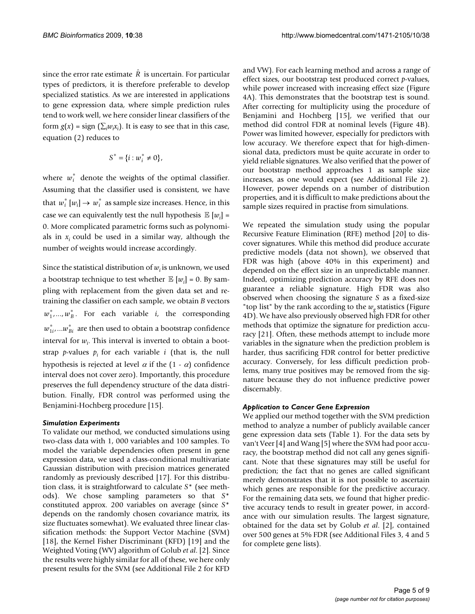since the error rate estimate  $\hat{R}$  is uncertain. For particular types of predictors, it is therefore preferable to develop specialized statistics. As we are interested in applications to gene expression data, where simple prediction rules tend to work well, we here consider linear classifiers of the form  $g(x) = \text{sign}(\sum_i w_i x_i)$ . It is easy to see that in this case, equation (2) reduces to

$$
S^* = \{i : w_i^* \neq 0\},\
$$

where  $w_i^*$  denote the weights of the optimal classifier. Assuming that the classifier used is consistent, we have that  $w_i^*$   $[w_i] \rightarrow w_i^*$  as sample size increases. Hence, in this case we can equivalently test the null hypothesis  $\mathbb{E} [w_i] =$ 0. More complicated parametric forms such as polynomials in  $x_i$  could be used in a similar way, although the number of weights would increase accordingly.

Since the statistical distribution of  $w_i$  is unknown, we used a bootstrap technique to test whether  $\mathbb{E} [w_i] = 0$ . By sampling with replacement from the given data set and retraining the classifier on each sample, we obtain *B* vectors  $w_1^*,..., w_B^*$ . For each variable *i*, the corresponding  $w_{1i}^*$ , ... $w_{Bi}^*$  are then used to obtain a bootstrap confidence interval for  $w_i$ . This interval is inverted to obtain a bootstrap *p*-values  $p_i$  for each variable *i* (that is, the null hypothesis is rejected at level  $\alpha$  if the  $(1 - \alpha)$  confidence interval does not cover zero). Importantly, this procedure preserves the full dependency structure of the data distribution. Finally, FDR control was performed using the Benjamini-Hochberg procedure [15].

#### *Simulation Experiments*

To validate our method, we conducted simulations using two-class data with 1, 000 variables and 100 samples. To model the variable dependencies often present in gene expression data, we used a class-conditional multivariate Gaussian distribution with precision matrices generated randomly as previously described [17]. For this distribution class, it is straightforward to calculate *S*\* (see methods). We chose sampling parameters so that *S*\* constituted approx. 200 variables on average (since *S*\* depends on the randomly chosen covariance matrix, its size fluctuates somewhat). We evaluated three linear classification methods: the Support Vector Machine (SVM) [18], the Kernel Fisher Discriminant (KFD) [19] and the Weighted Voting (WV) algorithm of Golub *et al*. [2]. Since the results were highly similar for all of these, we here only present results for the SVM (see Additional File 2 for KFD

and VW). For each learning method and across a range of effect sizes, our bootstrap test produced correct *p*-values, while power increased with increasing effect size (Figure 4A). This demonstrates that the bootstrap test is sound. After correcting for multiplicity using the procedure of Benjamini and Hochberg [15], we verified that our method did control FDR at nominal levels (Figure 4B). Power was limited however, especially for predictors with low accuracy. We therefore expect that for high-dimensional data, predictors must be quite accurate in order to yield reliable signatures. We also verified that the power of our bootstrap method approaches 1 as sample size increases, as one would expect (see Additional File 2). However, power depends on a number of distribution properties, and it is difficult to make predictions about the sample sizes required in practise from simulations.

We repeated the simulation study using the popular Recursive Feature Elimination (RFE) method [20] to discover signatures. While this method did produce accurate predictive models (data not shown), we observed that FDR was high (above 40% in this experiment) and depended on the effect size in an unpredictable manner. Indeed, optimizing prediction accuracy by RFE does not guarantee a reliable signature. High FDR was also observed when choosing the signature *S* as a fixed-size "top list" by the rank according to the  $w<sub>o</sub>$  statistics (Figure 4D). We have also previously observed high FDR for other methods that optimize the signature for prediction accuracy [21]. Often, these methods attempt to include more variables in the signature when the prediction problem is harder, thus sacrificing FDR control for better predictive accuracy. Conversely, for less difficult prediction problems, many true positives may be removed from the signature because they do not influence predictive power discernably.

#### *Application to Cancer Gene Expression*

We applied our method together with the SVM prediction method to analyze a number of publicly available cancer gene expression data sets (Table 1). For the data sets by van't Veer [4] and Wang [5] where the SVM had poor accuracy, the bootstrap method did not call any genes significant. Note that these signatures may still be useful for prediction; the fact that no genes are called significant merely demonstrates that it is not possible to ascertain which genes are responsible for the predictive accuracy. For the remaining data sets, we found that higher predictive accuracy tends to result in greater power, in accordance with our simulation results. The largest signature, obtained for the data set by Golub *et al*. [2], contained over 500 genes at 5% FDR (see Additional Files 3, 4 and 5 for complete gene lists).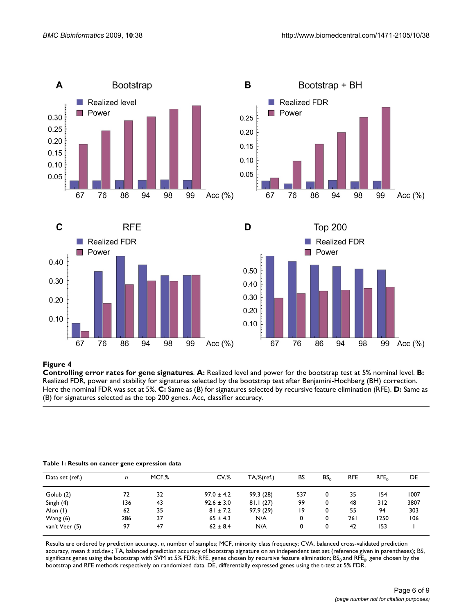





# **Figure 4**

**Controlling error rates for gene signatures**. **A:** Realized level and power for the bootstrap test at 5% nominal level. **B:**  Realized FDR, power and stability for signatures selected by the bootstrap test after Benjamini-Hochberg (BH) correction. Here the nominal FDR was set at 5%. **C:** Same as (B) for signatures selected by recursive feature elimination (RFE). **D:** Same as (B) for signatures selected as the top 200 genes. Acc, classifier accuracy.

#### **Table 1: Results on cancer gene expression data**

| Data set (ref.) | n   | MCF.% | $CV$ %         | $TA$ ,% $(ref.)$ | BS  | BS <sub>0</sub> | <b>RFE</b> | RFE <sub>0</sub> | DE   |
|-----------------|-----|-------|----------------|------------------|-----|-----------------|------------|------------------|------|
| Golub (2)       | 72  | 32    | $97.0 \pm 4.2$ | 99.3 (28)        | 537 |                 | 35         | 154              | 1007 |
| Singh $(4)$     | 136 | 43    | $92.6 \pm 3.0$ | 81.1(27)         | 99  |                 | 48         | 312              | 3807 |
| Alon $(1)$      | 62  | 35    | $81 \pm 7.2$   | 97.9 (29)        | 19  |                 | 55         | 94               | 303  |
| Wang $(6)$      | 286 | 37    | $65 \pm 4.3$   | N/A              | 0   |                 | 261        | 1250             | 106  |
| van't Veer (5)  | 97  | 47    | $62 \pm 8.4$   | N/A              | 0   |                 | 42         | 153              |      |

Results are ordered by prediction accuracy. *n*, number of samples; MCF, minority class frequency; CVA, balanced cross-validated prediction accuracy, mean ± std.dev.; TA, balanced prediction accuracy of bootstrap signature on an independent test set (reference given in parentheses); BS, significant genes using the bootstrap with SVM at 5% FDR; RFE, genes chosen by recursive feature elimination; BS<sub>0</sub> and RFE<sub>0</sub>, gene chosen by the bootstrap and RFE methods respectively on randomized data. DE, differentially expressed genes using the t-test at 5% FDR.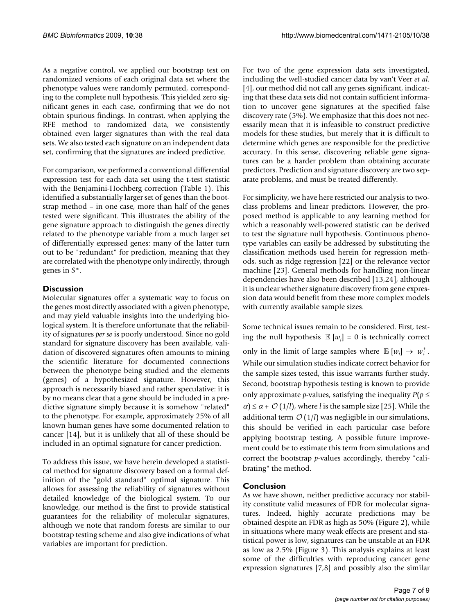As a negative control, we applied our bootstrap test on randomized versions of each original data set where the phenotype values were randomly permuted, corresponding to the complete null hypothesis. This yielded zero significant genes in each case, confirming that we do not obtain spurious findings. In contrast, when applying the RFE method to randomized data, we consistently obtained even larger signatures than with the real data sets. We also tested each signature on an independent data set, confirming that the signatures are indeed predictive.

For comparison, we performed a conventional differential expression test for each data set using the t-test statistic with the Benjamini-Hochberg correction (Table 1). This identified a substantially larger set of genes than the bootstrap method – in one case, more than half of the genes tested were significant. This illustrates the ability of the gene signature approach to distinguish the genes directly related to the phenotype variable from a much larger set of differentially expressed genes: many of the latter turn out to be "redundant" for prediction, meaning that they are correlated with the phenotype only indirectly, through genes in *S*\*.

# **Discussion**

Molecular signatures offer a systematic way to focus on the genes most directly associated with a given phenotype, and may yield valuable insights into the underlying biological system. It is therefore unfortunate that the reliability of signatures *per se* is poorly understood. Since no gold standard for signature discovery has been available, validation of discovered signatures often amounts to mining the scientific literature for documented connections between the phenotype being studied and the elements (genes) of a hypothesized signature. However, this approach is necessarily biased and rather speculative: it is by no means clear that a gene should be included in a predictive signature simply because it is somehow "related" to the phenotype. For example, approximately 25% of all known human genes have some documented relation to cancer [14], but it is unlikely that all of these should be included in an optimal signature for cancer prediction.

To address this issue, we have herein developed a statistical method for signature discovery based on a formal definition of the "gold standard" optimal signature. This allows for assessing the reliability of signatures without detailed knowledge of the biological system. To our knowledge, our method is the first to provide statistical guarantees for the reliability of molecular signatures, although we note that random forests are similar to our bootstrap testing scheme and also give indications of what variables are important for prediction.

For two of the gene expression data sets investigated, including the well-studied cancer data by van't Veer *et al*. [4], our method did not call any genes significant, indicating that these data sets did not contain sufficient information to uncover gene signatures at the specified false discovery rate (5%). We emphasize that this does not necessarily mean that it is infeasible to construct predictive models for these studies, but merely that it is difficult to determine which genes are responsible for the predictive accuracy. In this sense, discovering reliable gene signatures can be a harder problem than obtaining accurate predictors. Prediction and signature discovery are two separate problems, and must be treated differently.

For simplicity, we have here restricted our analysis to twoclass problems and linear predictors. However, the proposed method is applicable to any learning method for which a reasonably well-powered statistic can be derived to test the signature null hypothesis. Continuous phenotype variables can easily be addressed by substituting the classification methods used herein for regression methods, such as ridge regression [22] or the relevance vector machine [23]. General methods for handling non-linear dependencies have also been described [13,24], although it is unclear whether signature discovery from gene expression data would benefit from these more complex models with currently available sample sizes.

Some technical issues remain to be considered. First, testing the null hypothesis  $\mathbb{E}[w_i] = 0$  is technically correct only in the limit of large samples where  $\mathbb{E} [w_i] \to w_i^*$ . While our simulation studies indicate correct behavior for the sample sizes tested, this issue warrants further study. Second, bootstrap hypothesis testing is known to provide only approximate *p*-values, satisfying the inequality  $P(p \leq$  $\alpha$ )  $\leq \alpha$  +  $\mathcal{O}(1/l)$ , where *l* is the sample size [25]. While the additional term  $\mathcal{O}(1/l)$  was negligible in our simulations, this should be verified in each particular case before applying bootstrap testing. A possible future improvement could be to estimate this term from simulations and correct the bootstrap *p*-values accordingly, thereby "calibrating" the method.

# **Conclusion**

As we have shown, neither predictive accuracy nor stability constitute valid measures of FDR for molecular signatures. Indeed, highly accurate predictions may be obtained despite an FDR as high as 50% (Figure 2), while in situations where many weak effects are present and statistical power is low, signatures can be unstable at an FDR as low as 2.5% (Figure 3). This analysis explains at least some of the difficulties with reproducing cancer gene expression signatures [7,8] and possibly also the similar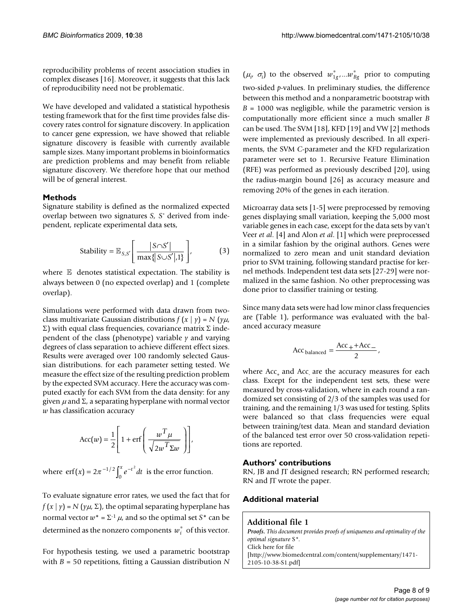reproducibility problems of recent association studies in complex diseases [16]. Moreover, it suggests that this lack of reproducibility need not be problematic.

We have developed and validated a statistical hypothesis testing framework that for the first time provides false discovery rates control for signature discovery. In application to cancer gene expression, we have showed that reliable signature discovery is feasible with currently available sample sizes. Many important problems in bioinformatics are prediction problems and may benefit from reliable signature discovery. We therefore hope that our method will be of general interest.

## **Methods**

Signature stability is defined as the normalized expected overlap between two signatures *S, S'* derived from independent, replicate experimental data sets,

Stability = 
$$
\mathbb{E}_{S,S'}\left[\frac{|S\cap S'|}{\max\{|S\cup S'|,1\}}\right],
$$
 (3)

where  $E$  denotes statistical expectation. The stability is always between 0 (no expected overlap) and 1 (complete overlap).

Simulations were performed with data drawn from twoclass multivariate Gaussian distributions  $f(x | y) = N(y\mu,$  $Σ$ ) with equal class frequencies, covariance matrix  $Σ$  independent of the class (phenotype) variable *y* and varying degrees of class separation to achieve different effect sizes. Results were averaged over 100 randomly selected Gaussian distributions. for each parameter setting tested. We measure the effect size of the resulting prediction problem by the expected SVM accuracy. Here the accuracy was computed exactly for each SVM from the data density: for any given  $\mu$  and  $\Sigma$ , a separating hyperplane with normal vector *w* has classification accuracy

$$
\text{Acc}(w) = \frac{1}{2} \left[ 1 + \text{erf}\left(\frac{w^T \mu}{\sqrt{2w^T \Sigma w}}\right) \right],
$$

where  $\text{erf}(x) = 2\pi^{-1/2} \int_0^x e^{-t^2} dt$  is the error function.  $\pi^{-1/2}$   $\int^x e^{-t^2}$ 

To evaluate signature error rates, we used the fact that for  $f(x | y) = N(y\mu, \Sigma)$ , the optimal separating hyperplane has normal vector  $w^* = \Sigma^{-1} \mu$ , and so the optimal set *S*<sup>\*</sup> can be determined as the nonzero components  $w_i^*$  of this vector.

For hypothesis testing, we used a parametric bootstrap with *B* = 50 repetitions, fitting a Gaussian distribution *N*

 $(\mu_i, \sigma_i)$  to the observed  $w_{1g}^*$ ,... $w_{Bg}^*$  prior to computing two-sided *p*-values. In preliminary studies, the difference between this method and a nonparametric bootstrap with  $B = 1000$  was negligible, while the parametric version is computationally more efficient since a much smaller *B* can be used. The SVM [18], KFD [19] and VW [2] methods were implemented as previously described. In all experiments, the SVM *C*-parameter and the KFD regularization parameter were set to 1. Recursive Feature Elimination (RFE) was performed as previously described [20], using the radius-margin bound [26] as accuracy measure and removing 20% of the genes in each iteration.

Microarray data sets [1-5] were preprocessed by removing genes displaying small variation, keeping the 5,000 most variable genes in each case, except for the data sets by van't Veer *et al*. [4] and Alon *et al*. [1] which were preprocessed in a similar fashion by the original authors. Genes were normalized to zero mean and unit standard deviation prior to SVM training, following standard practise for kernel methods. Independent test data sets [27-29] were normalized in the same fashion. No other preprocessing was done prior to classifier training or testing.

Since many data sets were had low minor class frequencies are (Table 1), performance was evaluated with the balanced accuracy measure

$$
Accbalanced = \frac{Acc+ + Acc-}{2},
$$

where  $Acc_{+}$  and  $Acc_{-}$  are the accuracy measures for each class. Except for the independent test sets, these were measured by cross-validation, where in each round a randomized set consisting of 2/3 of the samples was used for training, and the remaining 1/3 was used for testing. Splits were balanced so that class frequencies were equal between training/test data. Mean and standard deviation of the balanced test error over 50 cross-validation repetitions are reported.

#### **Authors' contributions**

RN, JB and JT designed research; RN performed research; RN and JT wrote the paper.

# **Additional material**

# <sup>∗</sup> **Additional file 1**

*Proofs. This document provides proofs of uniqueness and optimality of the optimal signature* S*\*.* Click here for file [\[http://www.biomedcentral.com/content/supplementary/1471-](http://www.biomedcentral.com/content/supplementary/1471-2105-10-38-S1.pdf) 2105-10-38-S1.pdf]